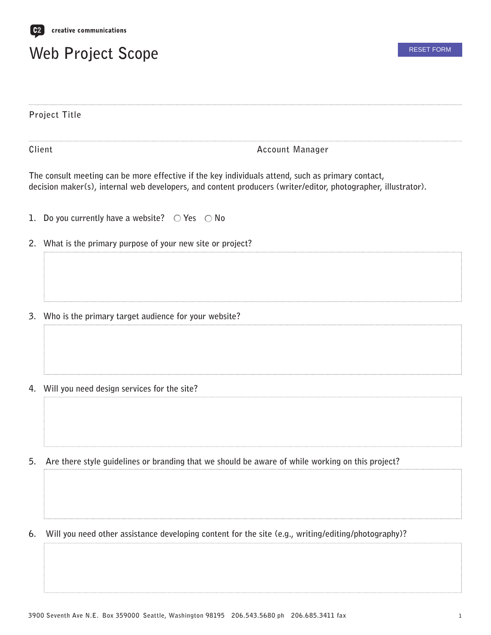

## **Web Project Scope**

| Project Title |                                                                                                                                                                                                                    |
|---------------|--------------------------------------------------------------------------------------------------------------------------------------------------------------------------------------------------------------------|
|               | Client<br>Account Manager                                                                                                                                                                                          |
|               | The consult meeting can be more effective if the key individuals attend, such as primary contact,<br>decision maker(s), internal web developers, and content producers (writer/editor, photographer, illustrator). |
|               | 1. Do you currently have a website? $\bigcirc$ Yes $\bigcirc$ No                                                                                                                                                   |
|               | 2. What is the primary purpose of your new site or project?                                                                                                                                                        |
|               | 3. Who is the primary target audience for your website?                                                                                                                                                            |
|               | 4. Will you need design services for the site?                                                                                                                                                                     |
| 5.            | Are there style guidelines or branding that we should be aware of while working on this project?                                                                                                                   |
|               |                                                                                                                                                                                                                    |